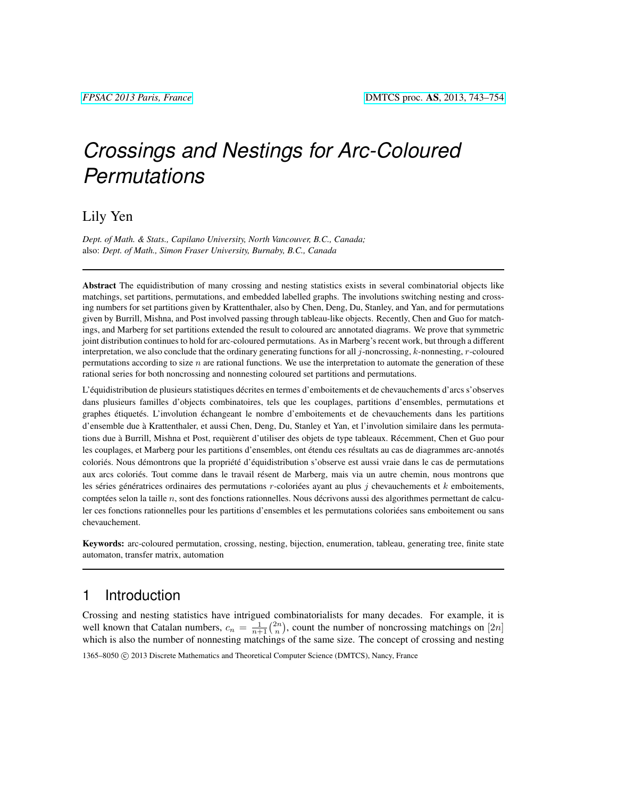# *Crossings and Nestings for Arc-Coloured Permutations*

### Lily Yen

*Dept. of Math. & Stats., Capilano University, North Vancouver, B.C., Canada;* also: *Dept. of Math., Simon Fraser University, Burnaby, B.C., Canada*

Abstract The equidistribution of many crossing and nesting statistics exists in several combinatorial objects like matchings, set partitions, permutations, and embedded labelled graphs. The involutions switching nesting and crossing numbers for set partitions given by Krattenthaler, also by Chen, Deng, Du, Stanley, and Yan, and for permutations given by Burrill, Mishna, and Post involved passing through tableau-like objects. Recently, Chen and Guo for matchings, and Marberg for set partitions extended the result to coloured arc annotated diagrams. We prove that symmetric joint distribution continues to hold for arc-coloured permutations. As in Marberg's recent work, but through a different interpretation, we also conclude that the ordinary generating functions for all j-noncrossing, k-nonnesting, r-coloured permutations according to size  $n$  are rational functions. We use the interpretation to automate the generation of these rational series for both noncrossing and nonnesting coloured set partitions and permutations.

L'équidistribution de plusieurs statistiques décrites en termes d'emboitements et de chevauchements d'arcs s'observes dans plusieurs familles d'objects combinatoires, tels que les couplages, partitions d'ensembles, permutations et graphes étiquetés. L'involution échangeant le nombre d'emboitements et de chevauchements dans les partitions d'ensemble due a Krattenthaler, et aussi Chen, Deng, Du, Stanley et Yan, et l'involution similaire dans les permuta- ` tions due à Burrill, Mishna et Post, requièrent d'utiliser des objets de type tableaux. Récemment, Chen et Guo pour les couplages, et Marberg pour les partitions d'ensembles, ont étendu ces résultats au cas de diagrammes arc-annotés coloriés. Nous démontrons que la propriété d'équidistribution s'observe est aussi vraie dans le cas de permutations aux arcs coloriés. Tout comme dans le travail résent de Marberg, mais via un autre chemin, nous montrons que les séries génératrices ordinaires des permutations  $r$ -coloriées ayant au plus  $j$  chevauchements et  $k$  emboitements, comptées selon la taille  $n$ , sont des fonctions rationnelles. Nous décrivons aussi des algorithmes permettant de calculer ces fonctions rationnelles pour les partitions d'ensembles et les permutations coloriées sans emboitement ou sans chevauchement.

Keywords: arc-coloured permutation, crossing, nesting, bijection, enumeration, tableau, generating tree, finite state automaton, transfer matrix, automation

### 1 Introduction

Crossing and nesting statistics have intrigued combinatorialists for many decades. For example, it is well known that Catalan numbers,  $c_n = \frac{1}{n+1} {2n \choose n}$ , count the number of noncrossing matchings on [2n] which is also the number of nonnesting matchings of the same size. The concept of crossing and nesting 1365–8050 C 2013 Discrete Mathematics and Theoretical Computer Science (DMTCS), Nancy, France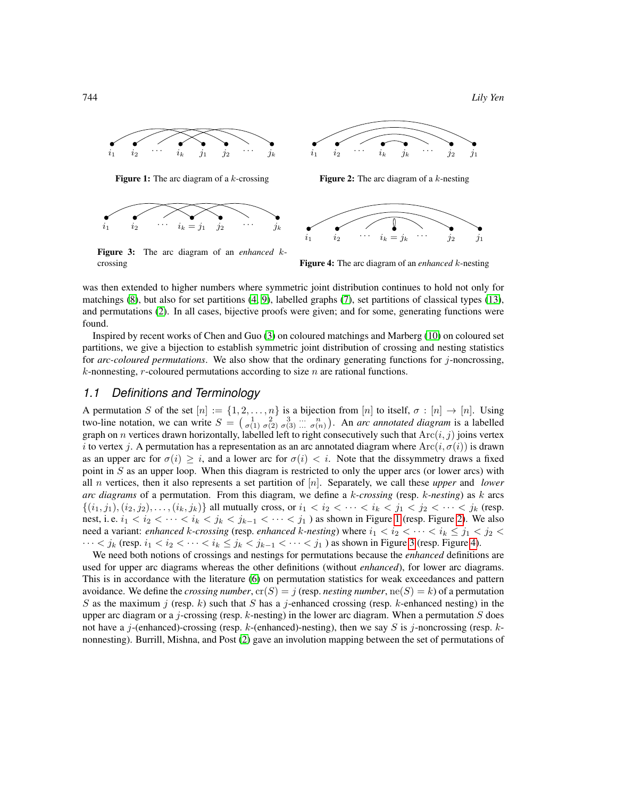744 *Lily Yen*



<span id="page-1-0"></span>**Figure 1:** The arc diagram of a  $k$ -crossing



<span id="page-1-2"></span>Figure 3: The arc diagram of an *enhanced* kcrossing



<span id="page-1-1"></span>**Figure 2:** The arc diagram of a  $k$ -nesting



<span id="page-1-3"></span>Figure 4: The arc diagram of an *enhanced* k-nesting

was then extended to higher numbers where symmetric joint distribution continues to hold not only for matchings [\(8\)](#page-11-0), but also for set partitions [\(4,](#page-11-1) [9\)](#page-11-2), labelled graphs [\(7\)](#page-11-3), set partitions of classical types [\(13\)](#page-11-4), and permutations [\(2\)](#page-11-5). In all cases, bijective proofs were given; and for some, generating functions were found.

Inspired by recent works of Chen and Guo [\(3\)](#page-11-6) on coloured matchings and Marberg [\(10\)](#page-11-7) on coloured set partitions, we give a bijection to establish symmetric joint distribution of crossing and nesting statistics for *arc-coloured permutations*. We also show that the ordinary generating functions for j-noncrossing,  $k$ -nonnesting, r-coloured permutations according to size  $n$  are rational functions.

#### *1.1 Definitions and Terminology*

A permutation S of the set  $[n] := \{1, 2, \ldots, n\}$  is a bijection from  $[n]$  to itself,  $\sigma : [n] \to [n]$ . Using two-line notation, we can write  $S = \begin{pmatrix} 1 & 2 & 3 & \dots & n \\ \sigma(1) & \sigma(2) & \sigma(3) & \dots & \sigma(n) \end{pmatrix}$ . An *arc annotated diagram* is a labelled graph on n vertices drawn horizontally, labelled left to right consecutively such that  $Arc(i, j)$  joins vertex i to vertex j. A permutation has a representation as an arc annotated diagram where  $\text{Arc}(i, \sigma(i))$  is drawn as an upper arc for  $\sigma(i) \geq i$ , and a lower arc for  $\sigma(i) < i$ . Note that the dissymmetry draws a fixed point in  $S$  as an upper loop. When this diagram is restricted to only the upper arcs (or lower arcs) with all n vertices, then it also represents a set partition of [n]. Separately, we call these *upper* and *lower arc diagrams* of a permutation. From this diagram, we define a k*-crossing* (resp. k*-nesting*) as k arcs  $\{(i_1, j_1), (i_2, j_2), \ldots, (i_k, j_k)\}\$ all mutually cross, or  $i_1 < i_2 < \cdots < i_k < j_1 < j_2 < \cdots < j_k$  (resp. nest, i. e.  $i_1 < i_2 < \cdots < i_k < j_k < j_{k-1} < \cdots < j_1$ ) as shown in Figure [1](#page-1-0) (resp. Figure [2\)](#page-1-1). We also need a variant: *enhanced* k-crossing (resp. *enhanced* k-nesting) where  $i_1 < i_2 < \cdots < i_k \leq j_1 < j_2 <$  $\cdots < j_k$  (resp.  $i_1 < i_2 < \cdots < i_k \le j_k < j_{k-1} < \cdots < j_1$ ) as shown in Figure [3](#page-1-2) (resp. Figure [4\)](#page-1-3).

We need both notions of crossings and nestings for permutations because the *enhanced* definitions are used for upper arc diagrams whereas the other definitions (without *enhanced*), for lower arc diagrams. This is in accordance with the literature [\(6\)](#page-11-8) on permutation statistics for weak exceedances and pattern avoidance. We define the *crossing number*,  $\text{cr}(S) = j$  (resp. *nesting number*,  $\text{ne}(S) = k$ ) of a permutation S as the maximum j (resp. k) such that S has a j-enhanced crossing (resp. k-enhanced nesting) in the upper arc diagram or a j-crossing (resp.  $k$ -nesting) in the lower arc diagram. When a permutation  $S$  does not have a j-(enhanced)-crossing (resp. k-(enhanced)-nesting), then we say S is j-noncrossing (resp. knonnesting). Burrill, Mishna, and Post [\(2\)](#page-11-5) gave an involution mapping between the set of permutations of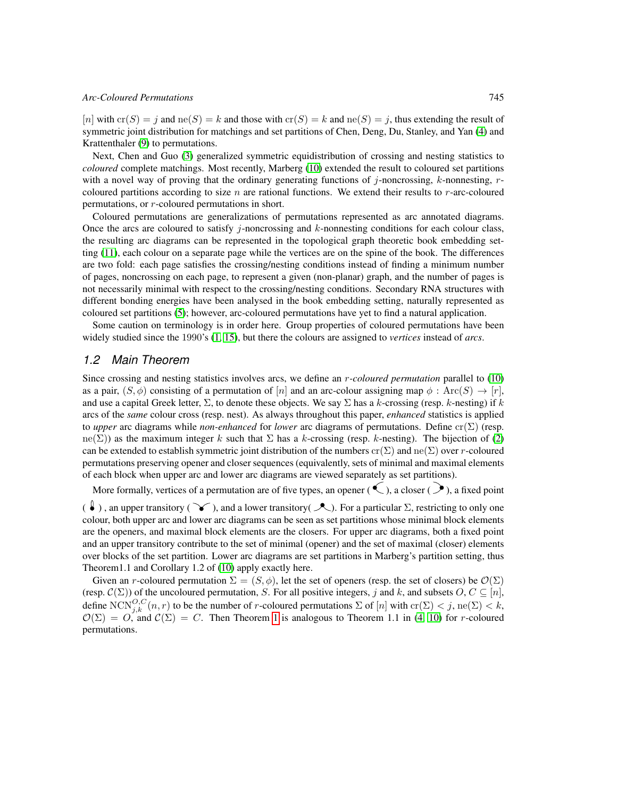#### *Arc-Coloured Permutations* 745

[n] with  $cr(S) = i$  and  $re(S) = k$  and those with  $cr(S) = k$  and  $re(S) = j$ , thus extending the result of symmetric joint distribution for matchings and set partitions of Chen, Deng, Du, Stanley, and Yan [\(4\)](#page-11-1) and Krattenthaler [\(9\)](#page-11-2) to permutations.

Next, Chen and Guo [\(3\)](#page-11-6) generalized symmetric equidistribution of crossing and nesting statistics to *coloured* complete matchings. Most recently, Marberg [\(10\)](#page-11-7) extended the result to coloured set partitions with a novel way of proving that the ordinary generating functions of j-noncrossing, k-nonnesting,  $r$ coloured partitions according to size  $n$  are rational functions. We extend their results to  $r$ -arc-coloured permutations, or r-coloured permutations in short.

Coloured permutations are generalizations of permutations represented as arc annotated diagrams. Once the arcs are coloured to satisfy  $j$ -noncrossing and  $k$ -nonnesting conditions for each colour class, the resulting arc diagrams can be represented in the topological graph theoretic book embedding setting [\(11\)](#page-11-9), each colour on a separate page while the vertices are on the spine of the book. The differences are two fold: each page satisfies the crossing/nesting conditions instead of finding a minimum number of pages, noncrossing on each page, to represent a given (non-planar) graph, and the number of pages is not necessarily minimal with respect to the crossing/nesting conditions. Secondary RNA structures with different bonding energies have been analysed in the book embedding setting, naturally represented as coloured set partitions [\(5\)](#page-11-10); however, arc-coloured permutations have yet to find a natural application.

Some caution on terminology is in order here. Group properties of coloured permutations have been widely studied since the 1990's [\(1,](#page-11-11) [15\)](#page-11-12), but there the colours are assigned to *vertices* instead of *arcs*.

#### *1.2 Main Theorem*

Since crossing and nesting statistics involves arcs, we define an r*-coloured permutation* parallel to [\(10\)](#page-11-7) as a pair,  $(S, \phi)$  consisting of a permutation of [n] and an arc-colour assigning map  $\phi$ : Arc $(S) \to [r]$ , and use a capital Greek letter,  $\Sigma$ , to denote these objects. We say  $\Sigma$  has a k-crossing (resp. k-nesting) if k arcs of the *same* colour cross (resp. nest). As always throughout this paper, *enhanced* statistics is applied to *upper* arc diagrams while *non-enhanced* for *lower* arc diagrams of permutations. Define cr(Σ) (resp.  $ne(\Sigma)$ ) as the maximum integer k such that  $\Sigma$  has a k-crossing (resp. k-nesting). The bijection of [\(2\)](#page-11-5) can be extended to establish symmetric joint distribution of the numbers  $cr(\Sigma)$  and  $\text{ne}(\Sigma)$  over r-coloured permutations preserving opener and closer sequences (equivalently, sets of minimal and maximal elements of each block when upper arc and lower arc diagrams are viewed separately as set partitions).

More formally, vertices of a permutation are of five types, an opener ( $\leq$ ), a closer ( $\geq$ ), a fixed point

 $(\,\mathbf{\bullet})$ , an upper transitory ( ), and a lower transitory(  $\mathbf{\mathcal{A}}$ ). For a particular  $\Sigma$ , restricting to only one colour, both upper arc and lower arc diagrams can be seen as set partitions whose minimal block elements are the openers, and maximal block elements are the closers. For upper arc diagrams, both a fixed point and an upper transitory contribute to the set of minimal (opener) and the set of maximal (closer) elements over blocks of the set partition. Lower arc diagrams are set partitions in Marberg's partition setting, thus Theorem1.1 and Corollary 1.2 of [\(10\)](#page-11-7) apply exactly here.

<span id="page-2-0"></span>Given an *r*-coloured permutation  $\Sigma = (S, \phi)$ , let the set of openers (resp. the set of closers) be  $\mathcal{O}(\Sigma)$ (resp.  $C(\Sigma)$ ) of the uncoloured permutation, S. For all positive integers, j and k, and subsets O,  $C \subseteq [n]$ , define  $\text{NCN}_{j,k}^{O,C}(n,r)$  to be the number of r-coloured permutations  $\Sigma$  of  $[n]$  with  $\text{cr}(\Sigma) < j$ ,  $\text{ne}(\Sigma) < k$ ,  $\mathcal{O}(\Sigma) = O$ , and  $\mathcal{C}(\Sigma) = C$ . Then Theorem [1](#page-2-0) is analogous to Theorem 1.1 in [\(4,](#page-11-1) [10\)](#page-11-7) for r-coloured permutations.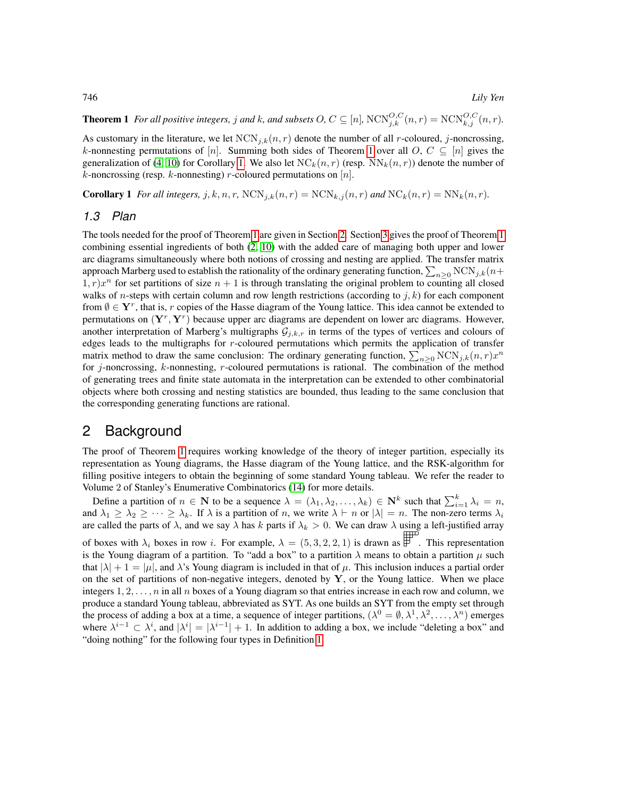**Theorem 1** For all positive integers, j and k, and subsets  $O, C \subseteq [n]$ ,  $NCN_{j,k}^{O,C}(n,r) = NCN_{k,j}^{O,C}(n,r)$ .

As customary in the literature, we let  $NCN_{j,k}(n, r)$  denote the number of all r-coloured, j-noncrossing, k-nonnesting permutations of [n]. Summing both sides of Theorem [1](#page-2-0) over all O,  $C \subseteq [n]$  gives the generalization of [\(4,](#page-11-1) [10\)](#page-11-7) for Corollary [1.](#page-3-0) We also let  $NC_k(n, r)$  (resp.  $NN_k(n, r)$ ) denote the number of k-noncrossing (resp. k-nonnesting) r-coloured permutations on  $[n]$ .

<span id="page-3-0"></span>**Corollary 1** *For all integers,*  $j, k, n, r$ ,  $NCN_{j,k}(n, r) = NCN_{k,j}(n, r)$  *and*  $NC_k(n, r) = NN_k(n, r)$ *.* 

#### *1.3 Plan*

The tools needed for the proof of Theorem [1](#page-2-0) are given in Section [2.](#page-3-1) Section [3](#page-4-0) gives the proof of Theorem [1](#page-2-0) combining essential ingredients of both [\(2,](#page-11-5) [10\)](#page-11-7) with the added care of managing both upper and lower arc diagrams simultaneously where both notions of crossing and nesting are applied. The transfer matrix approach Marberg used to establish the rationality of the ordinary generating function,  $\sum_{n\geq 0}\text{NCN}_{j,k}(n+1)$  $(1, r)x^n$  for set partitions of size  $n + 1$  is through translating the original problem to counting all closed walks of *n*-steps with certain column and row length restrictions (according to  $j, k$ ) for each component from  $\emptyset \in Y^r$ , that is, r copies of the Hasse diagram of the Young lattice. This idea cannot be extended to permutations on  $(Y^r, Y^r)$  because upper arc diagrams are dependent on lower arc diagrams. However, another interpretation of Marberg's multigraphs  $G_{j,k,r}$  in terms of the types of vertices and colours of edges leads to the multigraphs for r-coloured permutations which permits the application of transfer matrix method to draw the same conclusion: The ordinary generating function,  $\sum_{n\geq 0} NCN_{j,k}(n,r)x^n$ for j-noncrossing,  $k$ -nonnesting,  $r$ -coloured permutations is rational. The combination of the method of generating trees and finite state automata in the interpretation can be extended to other combinatorial objects where both crossing and nesting statistics are bounded, thus leading to the same conclusion that the corresponding generating functions are rational.

### <span id="page-3-1"></span>2 Background

The proof of Theorem [1](#page-2-0) requires working knowledge of the theory of integer partition, especially its representation as Young diagrams, the Hasse diagram of the Young lattice, and the RSK-algorithm for filling positive integers to obtain the beginning of some standard Young tableau. We refer the reader to Volume 2 of Stanley's Enumerative Combinatorics [\(14\)](#page-11-13) for more details.

<span id="page-3-2"></span>Define a partition of  $n \in \mathbb{N}$  to be a sequence  $\lambda = (\lambda_1, \lambda_2, \dots, \lambda_k) \in \mathbb{N}^k$  such that  $\sum_{i=1}^k \lambda_i = n$ , and  $\lambda_1 \geq \lambda_2 \geq \cdots \geq \lambda_k$ . If  $\lambda$  is a partition of n, we write  $\lambda \vdash n$  or  $|\lambda| = n$ . The non-zero terms  $\lambda_i$ are called the parts of  $\lambda$ , and we say  $\lambda$  has k parts if  $\lambda_k > 0$ . We can draw  $\lambda$  using a left-justified array of boxes with  $\lambda_i$  boxes in row i. For example,  $\lambda = (5, 3, 2, 2, 1)$  is drawn as  $\overline{\mathbb{F}}$ . This representation is the Young diagram of a partition. To "add a box" to a partition  $\lambda$  means to obtain a partition  $\mu$  such that  $|\lambda| + 1 = |\mu|$ , and  $\lambda$ 's Young diagram is included in that of  $\mu$ . This inclusion induces a partial order on the set of partitions of non-negative integers, denoted by  $Y$ , or the Young lattice. When we place integers  $1, 2, \ldots, n$  in all n boxes of a Young diagram so that entries increase in each row and column, we produce a standard Young tableau, abbreviated as SYT. As one builds an SYT from the empty set through the process of adding a box at a time, a sequence of integer partitions,  $(\lambda^0 = \emptyset, \lambda^1, \lambda^2, \dots, \lambda^n)$  emerges where  $\lambda^{i-1} \subset \lambda^i$ , and  $|\lambda^i| = |\lambda^{i-1}| + 1$ . In addition to adding a box, we include "deleting a box" and "doing nothing" for the following four types in Definition [1.](#page-3-2)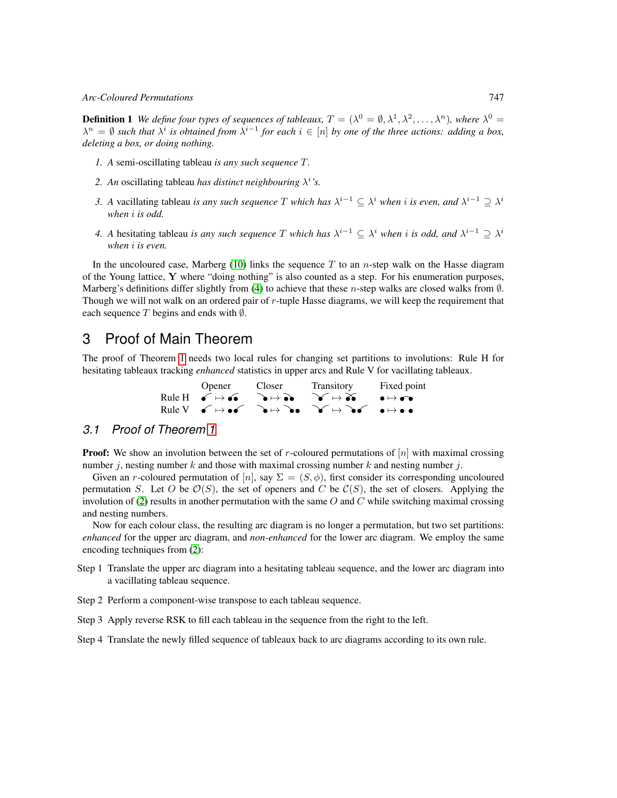#### *Arc-Coloured Permutations* 747

**Definition 1** We define four types of sequences of tableaux,  $T = (\lambda^0 = \emptyset, \lambda^1, \lambda^2, \ldots, \lambda^n)$ , where  $\lambda^0 =$  $\lambda^n = \emptyset$  such that  $\lambda^i$  is obtained from  $\lambda^{i-1}$  for each  $i \in [n]$  by one of the three actions: adding a box, *deleting a box, or doing nothing.*

- *1. A* semi-oscillating tableau *is any such sequence* T*.*
- 2. An oscillating tableau *has distinct neighbouring*  $\lambda^i$ 's.
- 3. A vacillating tableau *is any such sequence* T *which has*  $\lambda^{i-1} \subseteq \lambda^i$  *when i is even, and*  $\lambda^{i-1} \supseteq \lambda^i$ *when* i *is odd.*
- *4. A* hesitating tableau *is any such sequence* T *which has*  $\lambda^{i-1} \subseteq \lambda^i$  *when i is odd, and*  $\lambda^{i-1} \supseteq \lambda^i$ *when* i *is even.*

In the uncoloured case, Marberg [\(10\)](#page-11-7) links the sequence  $T$  to an *n*-step walk on the Hasse diagram of the Young lattice, Y where "doing nothing" is also counted as a step. For his enumeration purposes, Marberg's definitions differ slightly from [\(4\)](#page-11-1) to achieve that these n-step walks are closed walks from  $\emptyset$ . Though we will not walk on an ordered pair of r-tuple Hasse diagrams, we will keep the requirement that each sequence T begins and ends with  $\emptyset$ .

### <span id="page-4-0"></span>3 Proof of Main Theorem

The proof of Theorem [1](#page-2-0) needs two local rules for changing set partitions to involutions: Rule H for hesitating tableaux tracking *enhanced* statistics in upper arcs and Rule V for vacillating tableaux.

| Opener Closer | Transitory                                                                                                                                                                                  | Fixed point |
|---------------|---------------------------------------------------------------------------------------------------------------------------------------------------------------------------------------------|-------------|
|               | Rule H $\bullet \mapsto \bullet \bullet \rightarrow \bullet \bullet \rightarrow \bullet \rightarrow \bullet \rightarrow \bullet \rightarrow \bullet \rightarrow \bullet \bullet$            |             |
|               | Rule $V \leftarrow \rightarrow \bullet \rightarrow \bullet \rightarrow \bullet \rightarrow \bullet \rightarrow \bullet \rightarrow \bullet \rightarrow \bullet \rightarrow \bullet \bullet$ |             |

### *3.1 Proof of Theorem [1](#page-2-0)*

**Proof:** We show an involution between the set of r-coloured permutations of  $[n]$  with maximal crossing number j, nesting number k and those with maximal crossing number k and nesting number j.

Given an r-coloured permutation of [n], say  $\Sigma = (S, \phi)$ , first consider its corresponding uncoloured permutation S. Let O be  $\mathcal{O}(S)$ , the set of openers and C be  $\mathcal{C}(S)$ , the set of closers. Applying the involution of [\(2\)](#page-11-5) results in another permutation with the same  $O$  and  $C$  while switching maximal crossing and nesting numbers.

Now for each colour class, the resulting arc diagram is no longer a permutation, but two set partitions: *enhanced* for the upper arc diagram, and *non-enhanced* for the lower arc diagram. We employ the same encoding techniques from [\(2\)](#page-11-5):

- Step 1 Translate the upper arc diagram into a hesitating tableau sequence, and the lower arc diagram into a vacillating tableau sequence.
- Step 2 Perform a component-wise transpose to each tableau sequence.
- Step 3 Apply reverse RSK to fill each tableau in the sequence from the right to the left.
- Step 4 Translate the newly filled sequence of tableaux back to arc diagrams according to its own rule.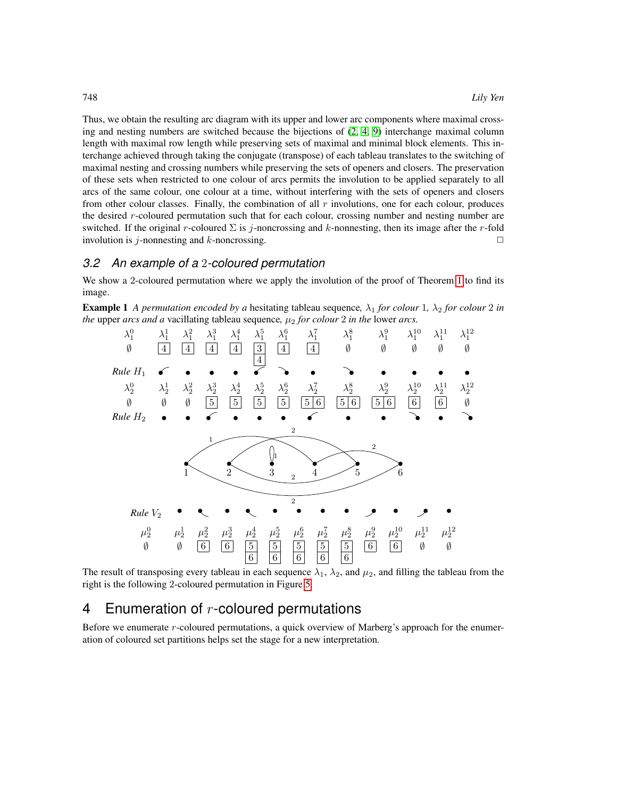Thus, we obtain the resulting arc diagram with its upper and lower arc components where maximal crossing and nesting numbers are switched because the bijections of [\(2,](#page-11-5) [4,](#page-11-1) [9\)](#page-11-2) interchange maximal column length with maximal row length while preserving sets of maximal and minimal block elements. This interchange achieved through taking the conjugate (transpose) of each tableau translates to the switching of maximal nesting and crossing numbers while preserving the sets of openers and closers. The preservation of these sets when restricted to one colour of arcs permits the involution to be applied separately to all arcs of the same colour, one colour at a time, without interfering with the sets of openers and closers from other colour classes. Finally, the combination of all  $r$  involutions, one for each colour, produces the desired r-coloured permutation such that for each colour, crossing number and nesting number are switched. If the original r-coloured  $\Sigma$  is j-noncrossing and k-nonnesting, then its image after the r-fold involution is  $j$ -nonnesting and k-noncrossing.  $\Box$ 

#### *3.2 An example of a* 2*-coloured permutation*

<span id="page-5-0"></span>We show a 2-coloured permutation where we apply the involution of the proof of Theorem [1](#page-2-0) to find its image.

**Example 1** *A permutation encoded by a* hesitating tableau sequence,  $\lambda_1$  *for colour* 1*,*  $\lambda_2$  *for colour* 2 *in the* upper *arcs and a* vacillating tableau sequence,  $\mu_2$  *for colour* 2 *in the* lower *arcs*.



The result of transposing every tableau in each sequence  $\lambda_1$ ,  $\lambda_2$ , and  $\mu_2$ , and filling the tableau from the right is the following 2-coloured permutation in Figure [5.](#page-6-0)

### 4 Enumeration of  $r$ -coloured permutations

Before we enumerate r-coloured permutations, a quick overview of Marberg's approach for the enumeration of coloured set partitions helps set the stage for a new interpretation.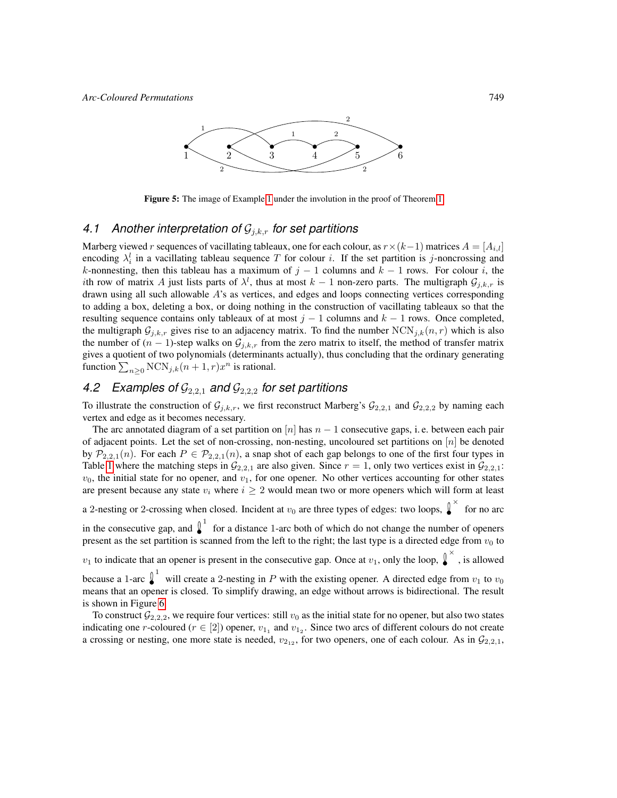

<span id="page-6-0"></span>Figure 5: The image of Example [1](#page-5-0) under the involution in the proof of Theorem [1](#page-2-0)

#### 4.1 Another interpretation of  $\mathcal{G}_{i,k,r}$  for set partitions

Marberg viewed r sequences of vacillating tableaux, one for each colour, as  $r \times (k-1)$  matrices  $A = [A_{i,l}]$ encoding  $\lambda_i^l$  in a vacillating tableau sequence T for colour i. If the set partition is j-noncrossing and k-nonnesting, then this tableau has a maximum of  $j - 1$  columns and  $k - 1$  rows. For colour i, the *i*th row of matrix A just lists parts of  $\lambda^l$ , thus at most  $k-1$  non-zero parts. The multigraph  $\mathcal{G}_{j,k,r}$  is drawn using all such allowable  $A$ 's as vertices, and edges and loops connecting vertices corresponding to adding a box, deleting a box, or doing nothing in the construction of vacillating tableaux so that the resulting sequence contains only tableaux of at most  $j - 1$  columns and  $k - 1$  rows. Once completed, the multigraph  $\mathcal{G}_{j,k,r}$  gives rise to an adjacency matrix. To find the number  $NCN_{j,k}(n,r)$  which is also the number of  $(n - 1)$ -step walks on  $\mathcal{G}_{j,k,r}$  from the zero matrix to itself, the method of transfer matrix gives a quotient of two polynomials (determinants actually), thus concluding that the ordinary generating function  $\sum_{n\geq 0} NCN_{j,k}(n+1,r)x^n$  is rational.

### 4.2 Examples of  $G_{2,2,1}$  *and*  $G_{2,2,2}$  *for set partitions*

To illustrate the construction of  $\mathcal{G}_{j,k,r}$ , we first reconstruct Marberg's  $\mathcal{G}_{2,2,1}$  and  $\mathcal{G}_{2,2,2}$  by naming each vertex and edge as it becomes necessary.

The arc annotated diagram of a set partition on  $[n]$  has  $n - 1$  consecutive gaps, i.e. between each pair of adjacent points. Let the set of non-crossing, non-nesting, uncoloured set partitions on [n] be denoted by  $\mathcal{P}_{2,2,1}(n)$ . For each  $P \in \mathcal{P}_{2,2,1}(n)$ , a snap shot of each gap belongs to one of the first four types in Table [1](#page-8-0) where the matching steps in  $\mathcal{G}_{2,2,1}$  are also given. Since  $r = 1$ , only two vertices exist in  $\mathcal{G}_{2,2,1}$ :  $v_0$ , the initial state for no opener, and  $v_1$ , for one opener. No other vertices accounting for other states are present because any state  $v_i$  where  $i \geq 2$  would mean two or more openers which will form at least

a 2-nesting or 2-crossing when closed. Incident at  $v_0$  are three types of edges: two loops,  $\int_0^{\infty}$  for no arc

in the consecutive gap, and  $\int_0^1$  for a distance 1-arc both of which do not change the number of openers present as the set partition is scanned from the left to the right; the last type is a directed edge from  $v_0$  to

 $v_1$  to indicate that an opener is present in the consecutive gap. Once at  $v_1$ , only the loop,  $\int_0^{\infty}$ , is allowed because a 1-arc  $\int_0^1$  will create a 2-nesting in P with the existing opener. A directed edge from  $v_1$  to  $v_0$ 

means that an opener is closed. To simplify drawing, an edge without arrows is bidirectional. The result is shown in Figure [6.](#page-7-0)

To construct  $G_{2,2,2}$ , we require four vertices: still  $v_0$  as the initial state for no opener, but also two states indicating one *r*-coloured ( $r \in [2]$ ) opener,  $v_{1_1}$  and  $v_{1_2}$ . Since two arcs of different colours do not create a crossing or nesting, one more state is needed,  $v_{212}$ , for two openers, one of each colour. As in  $\mathcal{G}_{2,2,1}$ ,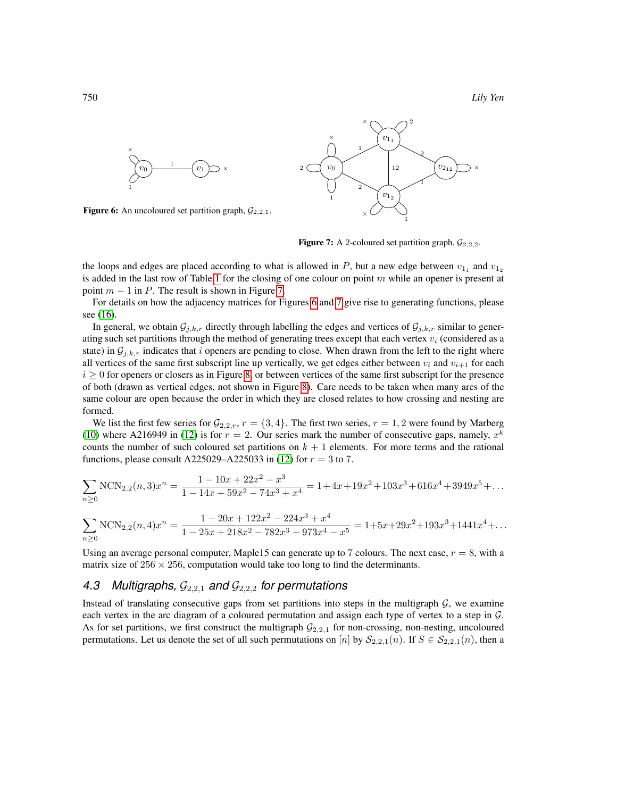

<span id="page-7-0"></span>**Figure 6:** An uncoloured set partition graph,  $\mathcal{G}_{2,2,1}$ .



<span id="page-7-1"></span>**Figure 7:** A 2-coloured set partition graph,  $\mathcal{G}_{2,2,2}$ .

the loops and edges are placed according to what is allowed in  $P$ , but a new edge between  $v_{1_1}$  and  $v_{1_2}$ is added in the last row of Table [1](#page-8-0) for the closing of one colour on point  $m$  while an opener is present at point  $m - 1$  in P. The result is shown in Figure [7.](#page-7-1)

For details on how the adjacency matrices for Figures [6](#page-7-0) and [7](#page-7-1) give rise to generating functions, please see [\(16\)](#page-11-14).

In general, we obtain  $\mathcal{G}_{j,k,r}$  directly through labelling the edges and vertices of  $\mathcal{G}_{j,k,r}$  similar to generating such set partitions through the method of generating trees except that each vertex  $v_i$  (considered as a state) in  $\mathcal{G}_{i,k,r}$  indicates that i openers are pending to close. When drawn from the left to the right where all vertices of the same first subscript line up vertically, we get edges either between  $v_i$  and  $v_{i+1}$  for each  $i \geq 0$  for openers or closers as in Figure [8,](#page-8-1) or between vertices of the same first subscript for the presence of both (drawn as vertical edges, not shown in Figure [8\)](#page-8-1). Care needs to be taken when many arcs of the same colour are open because the order in which they are closed relates to how crossing and nesting are formed.

We list the first few series for  $\mathcal{G}_{2,2,r}$ ,  $r = \{3, 4\}$ . The first two series,  $r = 1, 2$  were found by Marberg [\(10\)](#page-11-7) where A216949 in [\(12\)](#page-11-15) is for  $r = 2$ . Our series mark the number of consecutive gaps, namely,  $x^k$ counts the number of such coloured set partitions on  $k + 1$  elements. For more terms and the rational functions, please consult A225029–A225033 in [\(12\)](#page-11-15) for  $r = 3$  to 7.

$$
\sum_{n\geq 0} \text{NCN}_{2,2}(n,3)x^n = \frac{1 - 10x + 22x^2 - x^3}{1 - 14x + 59x^2 - 74x^3 + x^4} = 1 + 4x + 19x^2 + 103x^3 + 616x^4 + 3949x^5 + \dots
$$

$$
\sum_{n\geq 0} \text{NCN}_{2,2}(n,4)x^n = \frac{1 - 20x + 122x^2 - 224x^3 + x^4}{1 - 25x + 218x^2 - 782x^3 + 973x^4 - x^5} = 1 + 5x + 29x^2 + 193x^3 + 1441x^4 + \dots
$$

Using an average personal computer, Maple15 can generate up to 7 colours. The next case,  $r = 8$ , with a matrix size of  $256 \times 256$ , computation would take too long to find the determinants.

## 4.3 Multigraphs,  $\mathcal{G}_{2,2,1}$  and  $\mathcal{G}_{2,2,2}$  for permutations

Instead of translating consecutive gaps from set partitions into steps in the multigraph  $G$ , we examine each vertex in the arc diagram of a coloured permutation and assign each type of vertex to a step in G. As for set partitions, we first construct the multigraph  $\mathcal{G}_{2,2,1}$  for non-crossing, non-nesting, uncoloured permutations. Let us denote the set of all such permutations on [n] by  $S_{2,2,1}(n)$ . If  $S \in S_{2,2,1}(n)$ , then a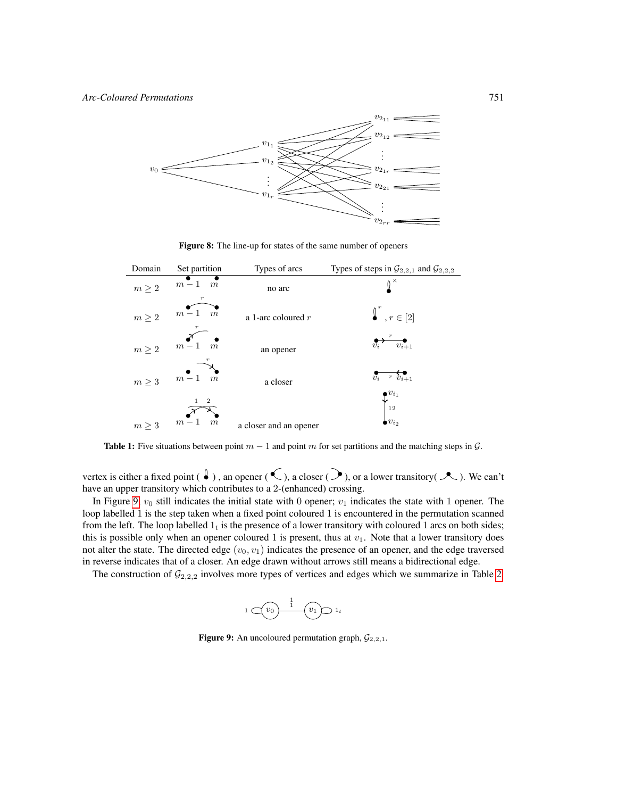

<span id="page-8-1"></span>Figure 8: The line-up for states of the same number of openers

| Domain    | Set partition                                 | Types of arcs          | Types of steps in $\mathcal{G}_{2,2,1}$ and $\mathcal{G}_{2,2,2}$ |
|-----------|-----------------------------------------------|------------------------|-------------------------------------------------------------------|
| $m\geq 2$ | $m-1$<br>$\boldsymbol{m}$                     | no arc                 |                                                                   |
| $m\geq 2$ | $m-1$<br>$\boldsymbol{m}$                     | a 1-arc coloured $r$   | $\int_0^r$ , $r \in [2]$                                          |
| $m\geq 2$ | $m-1$<br>$\overrightarrow{m}$                 | an opener              | $\overline{v_{i+1}}$                                              |
| $m\geq 3$ | $m-1$<br>$\overline{m}$                       | a closer               | $v_i$ r $v_{i+1}$<br>$\bullet v_{i_1}$                            |
| $m\geq 3$ | $\boldsymbol{2}$<br>$m-1$<br>$\boldsymbol{m}$ | a closer and an opener | $\big\downarrow_{_{12}}$<br>$\bullet v_{i}$                       |

<span id="page-8-0"></span>**Table 1:** Five situations between point  $m - 1$  and point m for set partitions and the matching steps in  $\mathcal{G}$ .

vertex is either a fixed point ( $\ell$ ), an opener ( $\ell$ ), a closer ( $\ell$ ), or a lower transitory( $\ell$ ). We can't have an upper transitory which contributes to a 2-(enhanced) crossing.

In Figure [9,](#page-8-2)  $v_0$  still indicates the initial state with 0 opener;  $v_1$  indicates the state with 1 opener. The loop labelled 1 is the step taken when a fixed point coloured 1 is encountered in the permutation scanned from the left. The loop labelled  $1<sub>t</sub>$  is the presence of a lower transitory with coloured 1 arcs on both sides; this is possible only when an opener coloured 1 is present, thus at  $v_1$ . Note that a lower transitory does not alter the state. The directed edge  $(v_0, v_1)$  indicates the presence of an opener, and the edge traversed in reverse indicates that of a closer. An edge drawn without arrows still means a bidirectional edge.

The construction of  $\mathcal{G}_{2,2,2}$  involves more types of vertices and edges which we summarize in Table [2.](#page-9-0)

<span id="page-8-2"></span>

**Figure 9:** An uncoloured permutation graph,  $\mathcal{G}_{2,2,1}$ .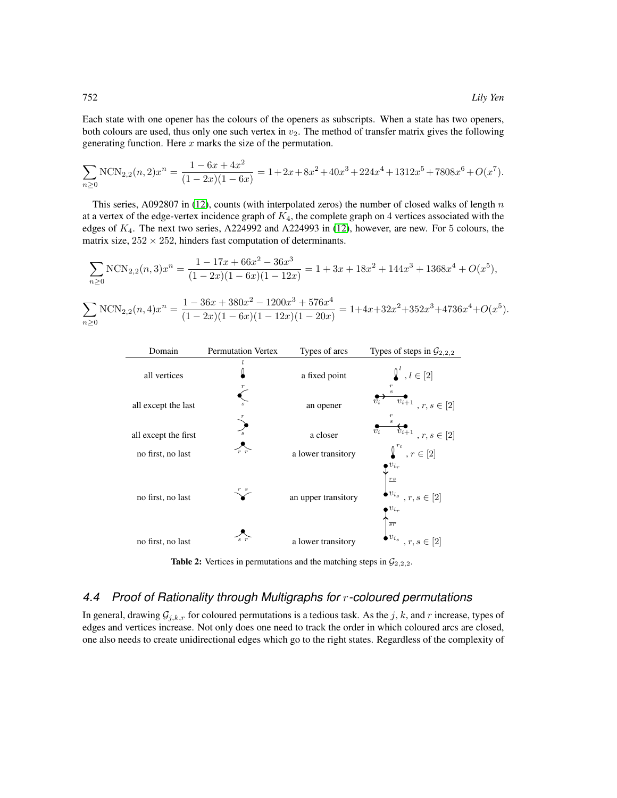Each state with one opener has the colours of the openers as subscripts. When a state has two openers, both colours are used, thus only one such vertex in  $v_2$ . The method of transfer matrix gives the following generating function. Here  $x$  marks the size of the permutation.

$$
\sum_{n\geq 0} \text{NCN}_{2,2}(n,2)x^n = \frac{1-6x+4x^2}{(1-2x)(1-6x)} = 1+2x+8x^2+40x^3+224x^4+1312x^5+7808x^6+O(x^7).
$$

This series, A092807 in [\(12\)](#page-11-15), counts (with interpolated zeros) the number of closed walks of length  $n$ at a vertex of the edge-vertex incidence graph of  $K_4$ , the complete graph on 4 vertices associated with the edges of  $K_4$ . The next two series, A224992 and A224993 in [\(12\)](#page-11-15), however, are new. For 5 colours, the matrix size,  $252 \times 252$ , hinders fast computation of determinants.

$$
\sum_{n\geq 0} \text{NCN}_{2,2}(n,3)x^n = \frac{1 - 17x + 66x^2 - 36x^3}{(1 - 2x)(1 - 6x)(1 - 12x)} = 1 + 3x + 18x^2 + 144x^3 + 1368x^4 + O(x^5),
$$

 $\sum$  $n\geq 0$  $NCN_{2,2}(n,4)x^{n} = \frac{1 - 36x + 380x^{2} - 1200x^{3} + 576x^{4}}{(1 - 3x)(1 - 6x)(1 - 12x)(1 - 20x)}$  $\frac{1-30x+300x-1200x+370x}{(1-2x)(1-6x)(1-12x)(1-20x)} = 1+4x+32x^2+352x^3+4736x^4+O(x^5).$ 

| Domain               | <b>Permutation Vertex</b> | Types of arcs       | Types of steps in $\mathcal{G}_{2,2,2}$                                                      |
|----------------------|---------------------------|---------------------|----------------------------------------------------------------------------------------------|
| all vertices         |                           | a fixed point       | $\underline{\int}^{l}$ , $l \in [2]$                                                         |
| all except the last  |                           | an opener           | $v_{i+1}$<br>$\bar{v_i}$<br>$r, s \in [2]$                                                   |
| all except the first | $\overline{s}$            | a closer            | $v_{i+1}$<br>$v_i$<br>$r,s\in[2]$                                                            |
| no first, no last    | r r                       | a lower transitory  | $\boldsymbol{\underline{\textbf{I}}}^{r_t}$ , $r \in [2]$                                    |
| no first, no last    |                           | an upper transitory | $v_{i_r}$<br>$\underline{r}\underline{s}$<br>$v_{i_s}$ , $r, s \in [2]$<br>$\bullet v_{i_r}$ |
| no first, no last    |                           | a lower transitory  | $\overline{sr}$<br>$v_{i_s}$ , $r, s \in [2]$                                                |

<span id="page-9-0"></span>**Table 2:** Vertices in permutations and the matching steps in  $\mathcal{G}_{2,2,2}$ .

#### *4.4 Proof of Rationality through Multigraphs for* r*-coloured permutations*

In general, drawing  $G_{j,k,r}$  for coloured permutations is a tedious task. As the j, k, and r increase, types of edges and vertices increase. Not only does one need to track the order in which coloured arcs are closed, one also needs to create unidirectional edges which go to the right states. Regardless of the complexity of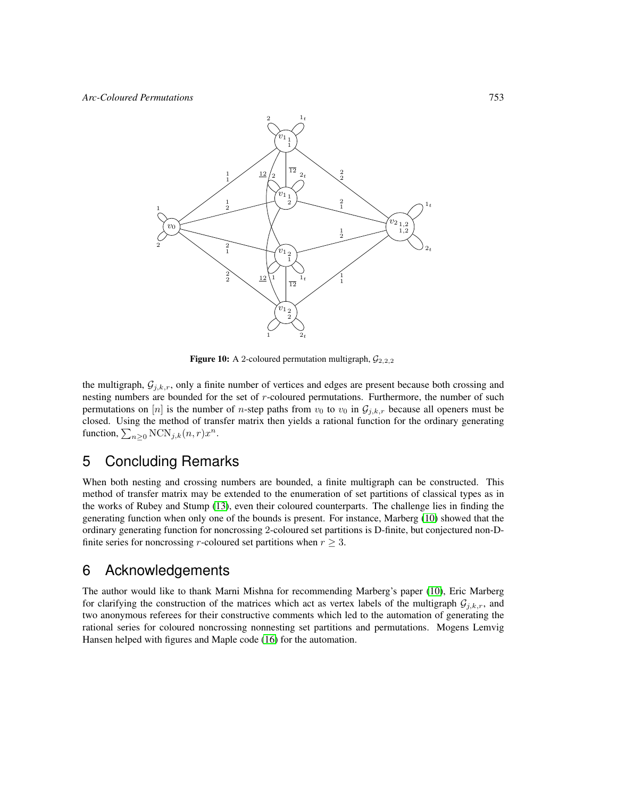

Figure 10: A 2-coloured permutation multigraph,  $\mathcal{G}_{2,2,2}$ 

the multigraph,  $\mathcal{G}_{j,k,r}$ , only a finite number of vertices and edges are present because both crossing and nesting numbers are bounded for the set of  $r$ -coloured permutations. Furthermore, the number of such permutations on [n] is the number of n-step paths from  $v_0$  to  $v_0$  in  $\mathcal{G}_{j,k,r}$  because all openers must be closed. Using the method of transfer matrix then yields a rational function for the ordinary generating function,  $\sum_{n\geq 0} NCN_{j,k}(n,r)x^n$ .

### 5 Concluding Remarks

When both nesting and crossing numbers are bounded, a finite multigraph can be constructed. This method of transfer matrix may be extended to the enumeration of set partitions of classical types as in the works of Rubey and Stump [\(13\)](#page-11-4), even their coloured counterparts. The challenge lies in finding the generating function when only one of the bounds is present. For instance, Marberg [\(10\)](#page-11-7) showed that the ordinary generating function for noncrossing 2-coloured set partitions is D-finite, but conjectured non-Dfinite series for noncrossing r-coloured set partitions when  $r \geq 3$ .

### 6 Acknowledgements

The author would like to thank Marni Mishna for recommending Marberg's paper [\(10\)](#page-11-7), Eric Marberg for clarifying the construction of the matrices which act as vertex labels of the multigraph  $\mathcal{G}_{j,k,r}$ , and two anonymous referees for their constructive comments which led to the automation of generating the rational series for coloured noncrossing nonnesting set partitions and permutations. Mogens Lemvig Hansen helped with figures and Maple code [\(16\)](#page-11-14) for the automation.